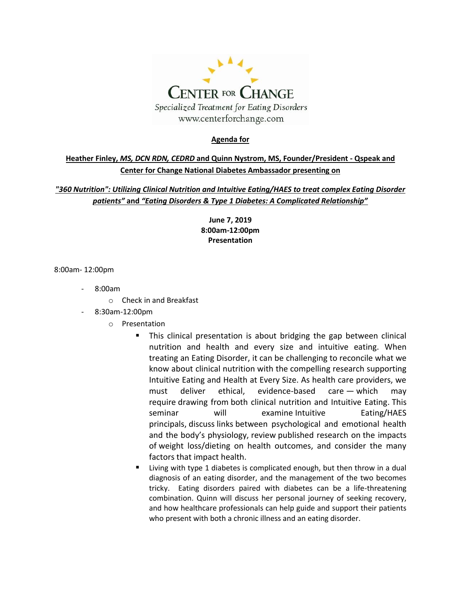

#### **Agenda for**

## **Heather Finley,** *MS, DCN RDN, CEDRD* **and Quinn Nystrom, MS, Founder/President - Qspeak and Center for Change National Diabetes Ambassador presenting on**

## *"360 Nutrition": Utilizing Clinical Nutrition and Intuitive Eating/HAES to treat complex Eating Disorder patients"* **and** *"Eating Disorders & Type 1 Diabetes: A Complicated Relationship"*

**June 7, 2019 8:00am-12:00pm Presentation**

8:00am- 12:00pm

- 8:00am
	- o Check in and Breakfast
- 8:30am-12:00pm
	- o Presentation
		- This clinical presentation is about bridging the gap between clinical nutrition and health and every size and intuitive eating. When treating an Eating Disorder, it can be challenging to reconcile what we know about clinical nutrition with the compelling research supporting Intuitive Eating and Health at Every Size. As health care providers, we must deliver ethical, evidence-based care — which may require drawing from both clinical nutrition and Intuitive Eating. This seminar will examine Intuitive Eating/HAES principals, discuss links between psychological and emotional health and the body's physiology, review published research on the impacts of weight loss/dieting on health outcomes, and consider the many factors that impact health.
		- Living with type 1 diabetes is complicated enough, but then throw in a dual diagnosis of an eating disorder, and the management of the two becomes tricky. Eating disorders paired with diabetes can be a life-threatening combination. Quinn will discuss her personal journey of seeking recovery, and how healthcare professionals can help guide and support their patients who present with both a chronic illness and an eating disorder.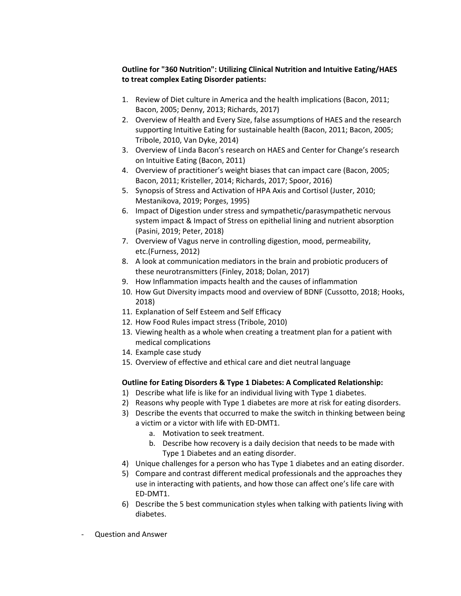#### **Outline for "360 Nutrition": Utilizing Clinical Nutrition and Intuitive Eating/HAES to treat complex Eating Disorder patients:**

- 1. Review of Diet culture in America and the health implications (Bacon, 2011; Bacon, 2005; Denny, 2013; Richards, 2017)
- 2. Overview of Health and Every Size, false assumptions of HAES and the research supporting Intuitive Eating for sustainable health (Bacon, 2011; Bacon, 2005; Tribole, 2010, Van Dyke, 2014)
- 3. Overview of Linda Bacon's research on HAES and Center for Change's research on Intuitive Eating (Bacon, 2011)
- 4. Overview of practitioner's weight biases that can impact care (Bacon, 2005; Bacon, 2011; Kristeller, 2014; Richards, 2017; Spoor, 2016)
- 5. Synopsis of Stress and Activation of HPA Axis and Cortisol (Juster, 2010; Mestanikova, 2019; Porges, 1995)
- 6. Impact of Digestion under stress and sympathetic/parasympathetic nervous system impact & Impact of Stress on epithelial lining and nutrient absorption (Pasini, 2019; Peter, 2018)
- 7. Overview of Vagus nerve in controlling digestion, mood, permeability, etc.(Furness, 2012)
- 8. A look at communication mediators in the brain and probiotic producers of these neurotransmitters (Finley, 2018; Dolan, 2017)
- 9. How Inflammation impacts health and the causes of inflammation
- 10. How Gut Diversity impacts mood and overview of BDNF (Cussotto, 2018; Hooks, 2018)
- 11. Explanation of Self Esteem and Self Efficacy
- 12. How Food Rules impact stress (Tribole, 2010)
- 13. Viewing health as a whole when creating a treatment plan for a patient with medical complications
- 14. Example case study
- 15. Overview of effective and ethical care and diet neutral language

## **Outline for Eating Disorders & Type 1 Diabetes: A Complicated Relationship:**

- 1) Describe what life is like for an individual living with Type 1 diabetes.
- 2) Reasons why people with Type 1 diabetes are more at risk for eating disorders.
- 3) Describe the events that occurred to make the switch in thinking between being a victim or a victor with life with ED-DMT1.
	- a. Motivation to seek treatment.
	- b. Describe how recovery is a daily decision that needs to be made with Type 1 Diabetes and an eating disorder.
- 4) Unique challenges for a person who has Type 1 diabetes and an eating disorder.
- 5) Compare and contrast different medical professionals and the approaches they use in interacting with patients, and how those can affect one's life care with ED-DMT1.
- 6) Describe the 5 best communication styles when talking with patients living with diabetes.
- Question and Answer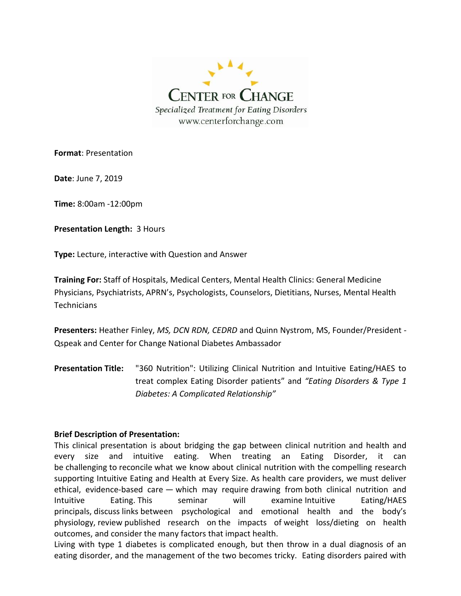

**Format**: Presentation

**Date**: June 7, 2019

**Time:** 8:00am -12:00pm

**Presentation Length:** 3 Hours

**Type:** Lecture, interactive with Question and Answer

**Training For:** Staff of Hospitals, Medical Centers, Mental Health Clinics: General Medicine Physicians, Psychiatrists, APRN's, Psychologists, Counselors, Dietitians, Nurses, Mental Health **Technicians** 

**Presenters:** Heather Finley, *MS, DCN RDN, CEDRD* and Quinn Nystrom, MS, Founder/President - Qspeak and Center for Change National Diabetes Ambassador

**Presentation Title:** "360 Nutrition": Utilizing Clinical Nutrition and Intuitive Eating/HAES to treat complex Eating Disorder patients" and *"Eating Disorders & Type 1 Diabetes: A Complicated Relationship"*

#### **Brief Description of Presentation:**

This clinical presentation is about bridging the gap between clinical nutrition and health and every size and intuitive eating. When treating an Eating Disorder, it can be challenging to reconcile what we know about clinical nutrition with the compelling research supporting Intuitive Eating and Health at Every Size. As health care providers, we must deliver ethical, evidence-based care — which may require drawing from both clinical nutrition and Intuitive Eating. This seminar will examine Intuitive Eating/HAES principals, discuss links between psychological and emotional health and the body's physiology, review published research on the impacts of weight loss/dieting on health outcomes, and consider the many factors that impact health.

Living with type 1 diabetes is complicated enough, but then throw in a dual diagnosis of an eating disorder, and the management of the two becomes tricky. Eating disorders paired with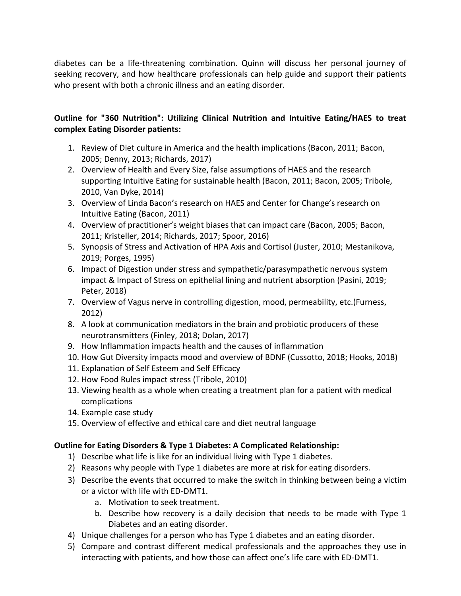diabetes can be a life-threatening combination. Quinn will discuss her personal journey of seeking recovery, and how healthcare professionals can help guide and support their patients who present with both a chronic illness and an eating disorder.

## **Outline for "360 Nutrition": Utilizing Clinical Nutrition and Intuitive Eating/HAES to treat complex Eating Disorder patients:**

- 1. Review of Diet culture in America and the health implications (Bacon, 2011; Bacon, 2005; Denny, 2013; Richards, 2017)
- 2. Overview of Health and Every Size, false assumptions of HAES and the research supporting Intuitive Eating for sustainable health (Bacon, 2011; Bacon, 2005; Tribole, 2010, Van Dyke, 2014)
- 3. Overview of Linda Bacon's research on HAES and Center for Change's research on Intuitive Eating (Bacon, 2011)
- 4. Overview of practitioner's weight biases that can impact care (Bacon, 2005; Bacon, 2011; Kristeller, 2014; Richards, 2017; Spoor, 2016)
- 5. Synopsis of Stress and Activation of HPA Axis and Cortisol (Juster, 2010; Mestanikova, 2019; Porges, 1995)
- 6. Impact of Digestion under stress and sympathetic/parasympathetic nervous system impact & Impact of Stress on epithelial lining and nutrient absorption (Pasini, 2019; Peter, 2018)
- 7. Overview of Vagus nerve in controlling digestion, mood, permeability, etc.(Furness, 2012)
- 8. A look at communication mediators in the brain and probiotic producers of these neurotransmitters (Finley, 2018; Dolan, 2017)
- 9. How Inflammation impacts health and the causes of inflammation
- 10. How Gut Diversity impacts mood and overview of BDNF (Cussotto, 2018; Hooks, 2018)
- 11. Explanation of Self Esteem and Self Efficacy
- 12. How Food Rules impact stress (Tribole, 2010)
- 13. Viewing health as a whole when creating a treatment plan for a patient with medical complications
- 14. Example case study
- 15. Overview of effective and ethical care and diet neutral language

## **Outline for Eating Disorders & Type 1 Diabetes: A Complicated Relationship:**

- 1) Describe what life is like for an individual living with Type 1 diabetes.
- 2) Reasons why people with Type 1 diabetes are more at risk for eating disorders.
- 3) Describe the events that occurred to make the switch in thinking between being a victim or a victor with life with ED-DMT1.
	- a. Motivation to seek treatment.
	- b. Describe how recovery is a daily decision that needs to be made with Type 1 Diabetes and an eating disorder.
- 4) Unique challenges for a person who has Type 1 diabetes and an eating disorder.
- 5) Compare and contrast different medical professionals and the approaches they use in interacting with patients, and how those can affect one's life care with ED-DMT1.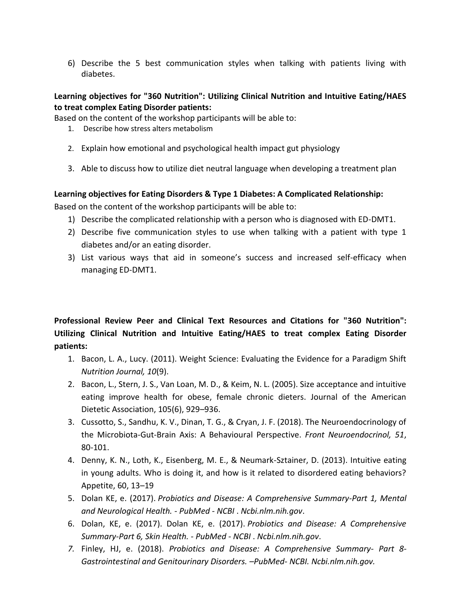6) Describe the 5 best communication styles when talking with patients living with diabetes.

## **Learning objectives for "360 Nutrition": Utilizing Clinical Nutrition and Intuitive Eating/HAES to treat complex Eating Disorder patients:**

Based on the content of the workshop participants will be able to:

- 1. Describe how stress alters metabolism
- 2. Explain how emotional and psychological health impact gut physiology
- 3. Able to discuss how to utilize diet neutral language when developing a treatment plan

## **Learning objectives for Eating Disorders & Type 1 Diabetes: A Complicated Relationship:**

Based on the content of the workshop participants will be able to:

- 1) Describe the complicated relationship with a person who is diagnosed with ED-DMT1.
- 2) Describe five communication styles to use when talking with a patient with type 1 diabetes and/or an eating disorder.
- 3) List various ways that aid in someone's success and increased self-efficacy when managing ED-DMT1.

# **Professional Review Peer and Clinical Text Resources and Citations for "360 Nutrition": Utilizing Clinical Nutrition and Intuitive Eating/HAES to treat complex Eating Disorder patients:**

- 1. Bacon, L. A., Lucy. (2011). Weight Science: Evaluating the Evidence for a Paradigm Shift *Nutrition Journal, 10*(9).
- 2. Bacon, L., Stern, J. S., Van Loan, M. D., & Keim, N. L. (2005). Size acceptance and intuitive eating improve health for obese, female chronic dieters. Journal of the American Dietetic Association, 105(6), 929–936.
- 3. Cussotto, S., Sandhu, K. V., Dinan, T. G., & Cryan, J. F. (2018). The Neuroendocrinology of the Microbiota-Gut-Brain Axis: A Behavioural Perspective. *Front Neuroendocrinol, 51*, 80-101.
- 4. Denny, K. N., Loth, K., Eisenberg, M. E., & Neumark-Sztainer, D. (2013). Intuitive eating in young adults. Who is doing it, and how is it related to disordered eating behaviors? Appetite, 60, 13–19
- 5. Dolan KE, e. (2017). *Probiotics and Disease: A Comprehensive Summary-Part 1, Mental and Neurological Health. - PubMed - NCBI* . *Ncbi.nlm.nih.gov*.
- 6. Dolan, KE, e. (2017). Dolan KE, e. (2017). *Probiotics and Disease: A Comprehensive Summary-Part 6, Skin Health. - PubMed - NCBI* . *Ncbi.nlm.nih.gov*.
- *7.* Finley, HJ, e. (2018). *Probiotics and Disease: A Comprehensive Summary- Part 8- Gastrointestinal and Genitourinary Disorders. –PubMed- NCBI. Ncbi.nlm.nih.gov.*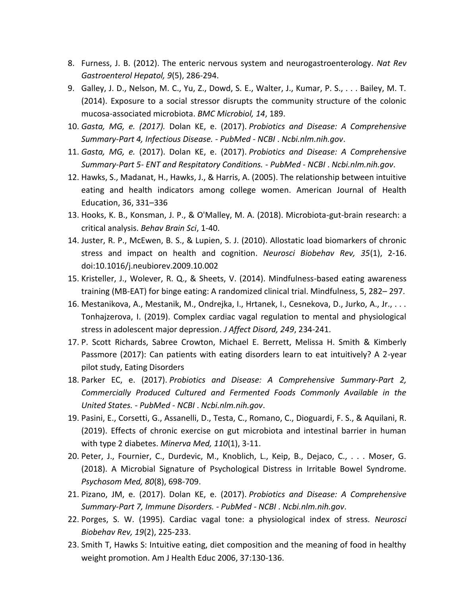- 8. Furness, J. B. (2012). The enteric nervous system and neurogastroenterology. *Nat Rev Gastroenterol Hepatol, 9*(5), 286-294.
- 9. Galley, J. D., Nelson, M. C., Yu, Z., Dowd, S. E., Walter, J., Kumar, P. S., . . . Bailey, M. T. (2014). Exposure to a social stressor disrupts the community structure of the colonic mucosa-associated microbiota. *BMC Microbiol, 14*, 189.
- 10. *Gasta, MG, e. (2017).* Dolan KE, e. (2017). *Probiotics and Disease: A Comprehensive Summary-Part 4, Infectious Disease. - PubMed - NCBI* . *Ncbi.nlm.nih.gov*.
- 11. *Gasta, MG, e.* (2017). Dolan KE, e. (2017). *Probiotics and Disease: A Comprehensive Summary-Part 5- ENT and Respitatory Conditions. - PubMed - NCBI* . *Ncbi.nlm.nih.gov*.
- 12. Hawks, S., Madanat, H., Hawks, J., & Harris, A. (2005). The relationship between intuitive eating and health indicators among college women. American Journal of Health Education, 36, 331–336
- 13. Hooks, K. B., Konsman, J. P., & O'Malley, M. A. (2018). Microbiota-gut-brain research: a critical analysis. *Behav Brain Sci*, 1-40.
- 14. Juster, R. P., McEwen, B. S., & Lupien, S. J. (2010). Allostatic load biomarkers of chronic stress and impact on health and cognition. *Neurosci Biobehav Rev, 35*(1), 2-16. doi:10.1016/j.neubiorev.2009.10.002
- 15. Kristeller, J., Wolever, R. Q., & Sheets, V. (2014). Mindfulness-based eating awareness training (MB-EAT) for binge eating: A randomized clinical trial. Mindfulness, 5, 282– 297.
- 16. Mestanikova, A., Mestanik, M., Ondrejka, I., Hrtanek, I., Cesnekova, D., Jurko, A., Jr., . . . Tonhajzerova, I. (2019). Complex cardiac vagal regulation to mental and physiological stress in adolescent major depression. *J Affect Disord, 249*, 234-241.
- 17. P. Scott Richards, Sabree Crowton, Michael E. Berrett, Melissa H. Smith & Kimberly Passmore (2017): Can patients with eating disorders learn to eat intuitively? A 2-year pilot study, Eating Disorders
- 18. Parker EC, e. (2017). *Probiotics and Disease: A Comprehensive Summary-Part 2, Commercially Produced Cultured and Fermented Foods Commonly Available in the United States. - PubMed - NCBI* . *Ncbi.nlm.nih.gov*.
- 19. Pasini, E., Corsetti, G., Assanelli, D., Testa, C., Romano, C., Dioguardi, F. S., & Aquilani, R. (2019). Effects of chronic exercise on gut microbiota and intestinal barrier in human with type 2 diabetes. *Minerva Med, 110*(1), 3-11.
- 20. Peter, J., Fournier, C., Durdevic, M., Knoblich, L., Keip, B., Dejaco, C., . . . Moser, G. (2018). A Microbial Signature of Psychological Distress in Irritable Bowel Syndrome. *Psychosom Med, 80*(8), 698-709.
- 21. Pizano, JM, e. (2017). Dolan KE, e. (2017). *Probiotics and Disease: A Comprehensive Summary-Part 7, Immune Disorders. - PubMed - NCBI* . *Ncbi.nlm.nih.gov*.
- 22. Porges, S. W. (1995). Cardiac vagal tone: a physiological index of stress. *Neurosci Biobehav Rev, 19*(2), 225-233.
- 23. Smith T, Hawks S: Intuitive eating, diet composition and the meaning of food in healthy weight promotion. Am J Health Educ 2006, 37:130-136.